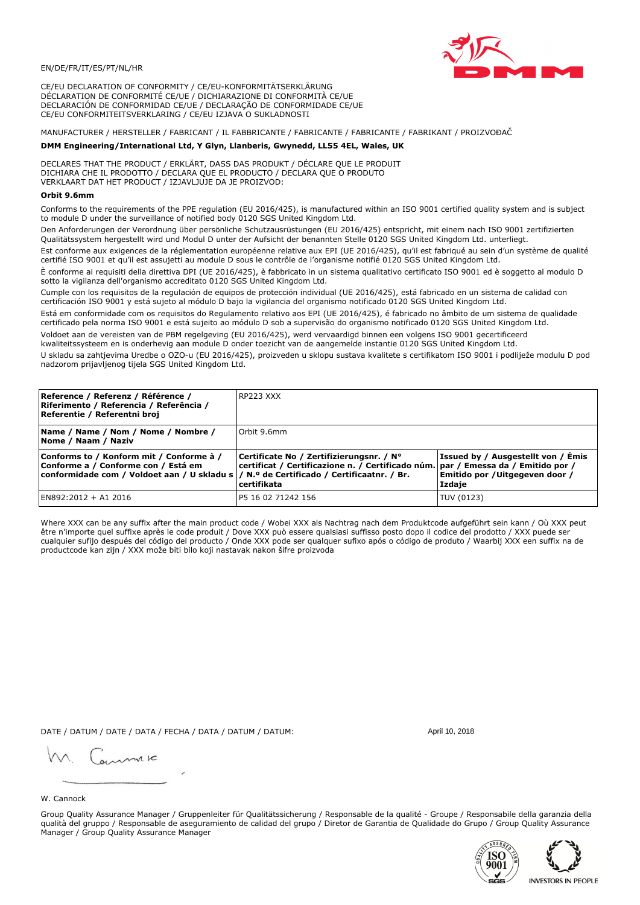

CE/EU DECLARATION OF CONFORMITY / CE/EU-KONFORMITÄTSERKLÄRUNG DÉCLARATION DE CONFORMITÉ CE/UE / DICHIARAZIONE DI CONFORMITÀ CE/UE DECLARACIÓN DE CONFORMIDAD CE/UE / DECLARAÇÃO DE CONFORMIDADE CE/UE CE/EU CONFORMITEITSVERKLARING / CE/EU IZJAVA O SUKLADNOSTI

# MANUFACTURER / HERSTELLER / FABRICANT / IL FABBRICANTE / FABRICANTE / FABRICANTE / FABRIKANT / PROIZVOĐAČ

## DMM Engineering/International Ltd, Y Glyn, Llanberis, Gwynedd, LL55 4EL, Wales, UK

DECLARES THAT THE PRODUCT / ERKLÄRT, DASS DAS PRODUKT / DÉCLARE QUE LE PRODUIT<br>DICHIARA CHE IL PRODOTTO / DECLARA QUE EL PRODUCTO / DECLARA QUE O PRODUTO VERKLAART DAT HET PRODUCT / IZJAVLJUJE DA JE PROIZVOD:

#### Orbit 9.6mm

Conforms to the requirements of the PPE regulation (EU 2016/425), is manufactured within an ISO 9001 certified quality system and is subject to module D under the surveillance of notified body 0120 SGS United Kingdom Ltd.

Den Anforderungen der Verordnung über persönliche Schutzausrüstungen (EU 2016/425) entspricht, mit einem nach ISO 9001 zertifizierten Qualitätssystem hergestellt wird und Modul D unter der Aufsicht der benannten Stelle 0120 SGS United Kingdom Ltd. unterliegt.

Est conforme aux exigences de la réglementation européenne relative aux EPI (UE 2016/425), qu'il est fabriqué au sein d'un système de qualité certifié ISO 9001 et qu'il est assujetti au module D sous le contrôle de l'organisme notifié 0120 SGS United Kingdom Ltd.

È conforme ai requisiti della direttiva DPI (UE 2016/425), è fabbricato in un sistema qualitativo certificato ISO 9001 ed è soggetto al modulo D sotto la vigilanza dell'organismo accreditato 0120 SGS United Kingdom Ltd.

Cumple con los requisitos de la regulación de equipos de protección individual (UE 2016/425), está fabricado en un sistema de calidad con certificación ISO 9001 y está sujeto al módulo D bajo la vigilancia del organismo notificado 0120 SGS United Kingdom Ltd.

Está em conformidade com os requisitos do Regulamento relativo aos EPI (UE 2016/425), é fabricado no âmbito de um sistema de qualidade certificado pela norma ISO 9001 e está sujeito ao módulo D sob a supervisão do organismo notificado 0120 SGS United Kingdom Ltd. Voldoet aan de vereisten van de PBM regelgeving (EU 2016/425), werd vervaardigd binnen een volgens ISO 9001 gecertificeerd

kwaliteitssysteem en is onderhevig aan module D onder toezicht van de aangemelde instantie 0120 SGS United Kingdom Ltd.

U skladu sa zahtjevima Uredbe o OZO-u (EU 2016/425), proizveden u sklopu sustava kvalitete s certifikatom ISO 9001 i podliježe modulu D pod nadzorom prijavljenog tijela SGS United Kingdom Ltd.

| Reference / Referenz / Référence /<br>Riferimento / Referencia / Referência /<br>Referentie / Referentni broj                                                              | IRP223 XXX                                                                                                                                       |                                                                                 |
|----------------------------------------------------------------------------------------------------------------------------------------------------------------------------|--------------------------------------------------------------------------------------------------------------------------------------------------|---------------------------------------------------------------------------------|
| Name / Name / Nom / Nome / Nombre /<br>Nome / Naam / Naziv                                                                                                                 | Orbit 9.6mm                                                                                                                                      |                                                                                 |
| Conforms to / Konform mit / Conforme à /<br>Conforme a / Conforme con / Está em<br>conformidade com / Voldoet aan / U skladu s / N.º de Certificado / Certificaatnr. / Br. | Certificate No / Zertifizierungsnr. / N°<br>  certificat / Certificazione n. / Certificado núm.   par / Emessa da / Emitido por /<br>certifikata | Issued by / Ausgestellt von / Emis<br>Emitido por / Uitgegeven door /<br>Izdaje |
| EN892:2012 + A1 2016                                                                                                                                                       | P5 16 02 71242 156                                                                                                                               | TUV (0123)                                                                      |

Where XXX can be any suffix after the main product code / Wobei XXX als Nachtrag nach dem Produktcode aufgeführt sein kann / Où XXX peut etre n'importe quel suffixe après le code produit / Dove XXX può essere qualsiasi suffisso posto dopo il codice del prodotto / XXX puede ser<br>cualquier sufijo después del código del producto / Onde XXX pode ser qualquer suf productcode kan zijn / XXX može biti bilo koji nastavak nakon šifre proizvoda

DATE / DATUM / DATE / DATA / FECHA / DATA / DATUM / DATUM:

gimmic

April 10, 2018

# W. Cannock

Group Quality Assurance Manager / Gruppenleiter für Qualitätssicherung / Responsable de la qualité - Groupe / Responsabile della garanzia della qualità del gruppo / Responsable de aseguramiento de calidad del grupo / Diretor de Garantia de Qualidade do Grupo / Group Quality Assurance Manager / Group Quality Assurance Manager



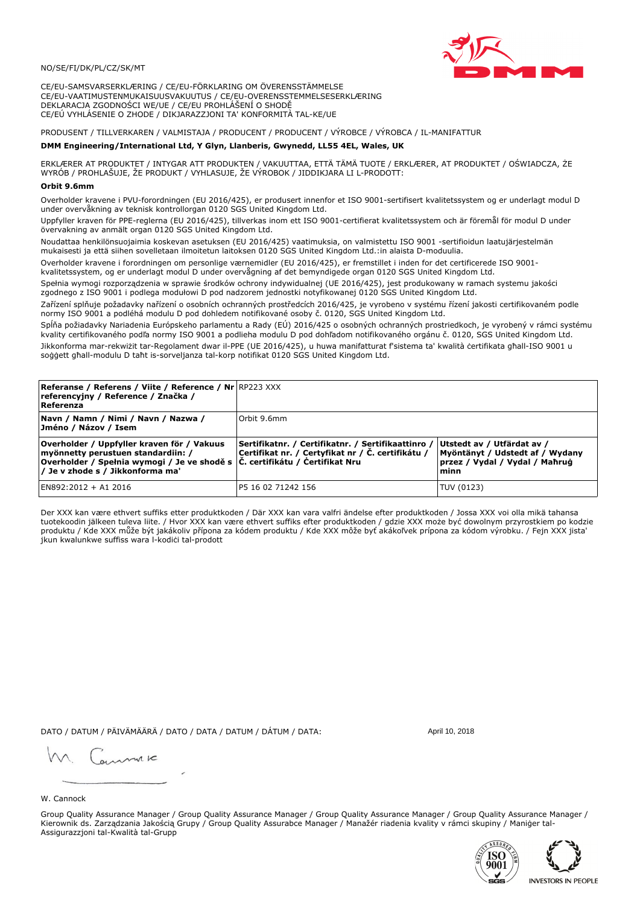### NO/SE/FI/DK/PL/CZ/SK/MT

CE/EU-SAMSVARSERKLÆRING / CE/EU-FÖRKLARING OM ÖVERENSSTÄMMELSE CE/EU-VAATIMUSTENMUKAISUUSVAKUUTUS / CE/EU-OVERENSSTEMMELSESERKLÆRING DEKLARACJA ZGODNOŚCI WE/UE / CE/EU PROHLÁŠENÍ O SHODĚ CE/EÚ VYHLÁSENIE O ZHODE / DIKJARAZZJONI TA' KONFORMITÀ TAL-KE/UE

PRODUSENT / TILLVERKAREN / VALMISTAJA / PRODUCENT / PRODUCENT / VÝROBCE / VÝROBCA / IL-MANIFATTUR

#### DMM Engineering/International Ltd, Y Glyn, Llanberis, Gwynedd, LL55 4EL, Wales, UK

ERKLÆRER AT PRODUKTET / INTYGAR ATT PRODUKTEN / VAKUUTTAA, ETTÄ TÄMÄ TUOTE / ERKLÆRER, AT PRODUKTET / OŚWIADCZA, ŻE<br>WYRÓB / PROHLAŠUJE, ŽE PRODUKT / VYHLASUJE, ŽE VÝROBOK / JIDDIKJARA LI L-PRODOTT:

Overholder kravene i PVU-forordningen (EU 2016/425), er produsert innenfor et ISO 9001-sertifisert kvalitetssystem og er underlagt modul D<br>under overvåkning av teknisk kontrollorgan 0120 SGS United Kingdom Ltd.

Uppfyller kraven för PPE-reglerna (EU 2016/425), tillverkas inom ett ISO 9001-certifierat kvalitetssystem och är föremål för modul D under övervakning av anmält organ 0120 SGS United Kingdom Ltd.

Noudattaa henkilönsuojaimia koskevan asetuksen (EU 2016/425) vaatimuksia, on valmistettu ISO 9001 -sertifioidun laatujärjestelmän mukaisesti ja että siihen sovelletaan ilmoitetun laitoksen 0120 SGS United Kingdom Ltd.:in alaista D-moduulia.

Overholder kravene i forordningen om personlige værnemidler (EU 2016/425), er fremstillet i inden for det certificerede ISO 9001kvalitetssystem, og er underlagt modul D under overvågning af det bemyndigede organ 0120 SGS United Kingdom Ltd.

Spełnia wymogi rozporządzenia w sprawie środków ochrony indywidualnej (UE 2016/425), jest produkowany w ramach systemu jakości zgodnego z ISO 9001 i podlega modułowi D pod nadzorem jednostki notyfikowanej 0120 SGS United Kingdom Ltd.

Zařízení splňuje požadavky nařízení o osobních ochranných prostředcích 2016/425, je vyrobeno v systému řízení jakosti certifikovaném podle normy ISO 9001 a podléhá modulu D pod dohledem notifikované osoby č. 0120, SGS United Kingdom Ltd.

Spĺňa požiadavky Nariadenia Európskeho parlamentu a Rady (EÚ) 2016/425 o osobných ochranných prostriedkoch, je vyrobený v rámci systému kvality certifikovaného podľa normy ISO 9001 a podlieha modulu D pod dohľadom notifikovaného orgánu č. 0120, SGS Únited Kingdom Ltd. Jikkonforma mar-rekwiżit tar-Regolament dwar il-PPE (UE 2016/425), u huwa manifatturat f'sistema ta' kwalità certifikata għall-ISO 9001 u soggett ghall-modulu D taht is-sorveljanza tal-korp notifikat 0120 SGS United Kingdom Ltd.

| <b>Referanse / Referens / Viite / Reference / Nr</b> RP223 XXX<br>referencyjny / Reference / Značka /<br>Referenza                                                                                                |                                                                                                         |                                                                                                         |
|-------------------------------------------------------------------------------------------------------------------------------------------------------------------------------------------------------------------|---------------------------------------------------------------------------------------------------------|---------------------------------------------------------------------------------------------------------|
| Navn / Namn / Nimi / Navn / Nazwa /<br>Jméno / Názov / Isem                                                                                                                                                       | Orbit 9.6mm                                                                                             |                                                                                                         |
| Overholder / Uppfyller kraven för / Vakuus<br>myönnetty perustuen standardiin: /<br> Overholder / Spełnia wymogi / Je ve shodě s $ \tilde{C} $ . certifikátu / Čertifikat Nru<br>/ Je v zhode s / Jikkonforma ma' | Sertifikatnr. / Certifikatnr. / Sertifikaattinro /<br>Certifikat nr. / Certyfikat nr / Č. certifikátu / | Utstedt av / Utfärdat av /<br>Myöntänyt / Udstedt af / Wydany<br>przez / Vydal / Vydal / Maħruġ<br>minn |
| EN892:2012 + A1 2016                                                                                                                                                                                              | IP5 16 02 71242 156                                                                                     | TUV (0123)                                                                                              |

Der XXX kan være ethvert suffiks etter produktkoden / Där XXX kan vara valfri ändelse efter produktkoden / Jossa XXX voi olla mikä tahansa tuotekoodin jälkeen tuleva liite. / Hvor XXX kan være ethvert suffiks efter produktkoden / gdzie XXX może być dowolnym przyrostkiem po kodzie produktu / Kde XXX může být jakákoliv přípona za kódem produktu / Kde XXX môže byť akákoľvek prípona za kódom výrobku. / Fejn XXX jista jkun kwalunkwe suffiss wara l-kodici tal-prodott

DATO / DATUM / PÄIVÄMÄÄRÄ / DATO / DATA / DATUM / DÁTUM / DATA:

April 10, 2018

annuic

## W. Cannock

Group Quality Assurance Manager / Group Quality Assurance Manager / Group Quality Assurance Manager / Group Quality Assurance Manager / Kierownik ds. Zarządzania Jakością Grupy / Group Quality Assurabce Manager / Manažér riadenia kvality v rámci skupiny / Maniger tal-Assigurazzjoni tal-Kwalità tal-Grupp